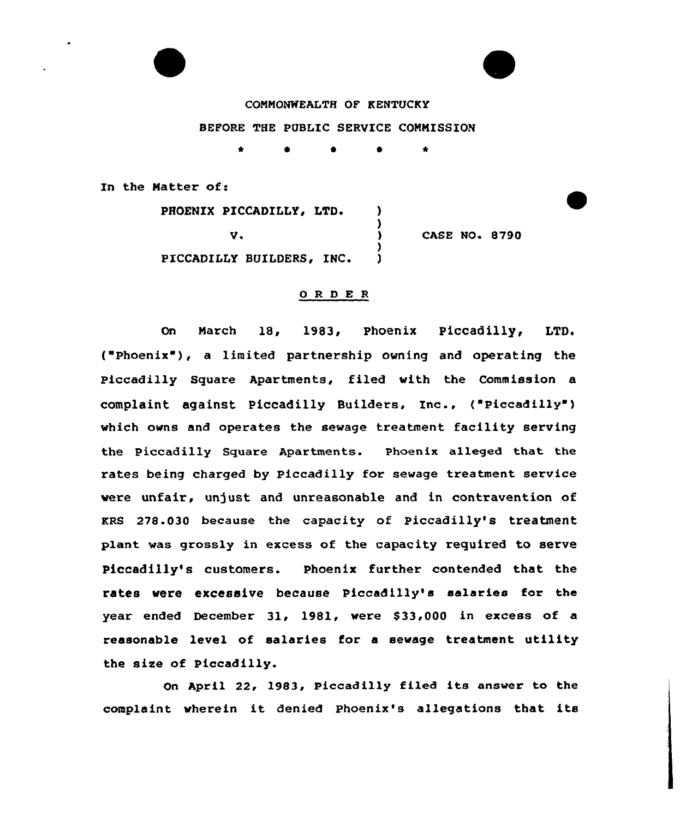COHHONWEALTH OF KENTUCKY BEFORE THE PUBLIC SERVICE CONNISSION

In the Matter of:

PHOENIX PICCADILLY, LTD.  $\mathbf{I}$ v. CASE NO. 8790 ١. PICCADILLY BUILDERS, INC.  $\mathbf{I}$ 

# 0 R <sup>D</sup> E R

On Harch 18, 1983, Phoenix Piccadilly, LTD. ("Phoenix" ), <sup>a</sup> limited partnership owning and operating the Piccadilly Square Apartments, filed with the Commission a complaint against Piccadilly Builders, Inc., ("Piccadilly") which owns and operates the sewage treatment facility serving the Piccadilly Square Apartments. Phoenix alleged that the rates being charged by Piccadilly for sewage treatment service were unfair, unjust and unreasonable and in contravention of KRs 278.030 because the capacity of piccadilly's treatment plant was grossly in excess of the capacity required to serve Piccadilly's customers. Phoenix further contended that the rates vere excessive because Piccadilly's salaries for the year ended December 31, 1981, were \$33,000 in excess of a reasonable level of salaries for a sevage treatment utility the size of Piccadilly.

On April 22, 1983, Piccadilly filed its answer to the complaint vherein it denied Phoenix's allegations that its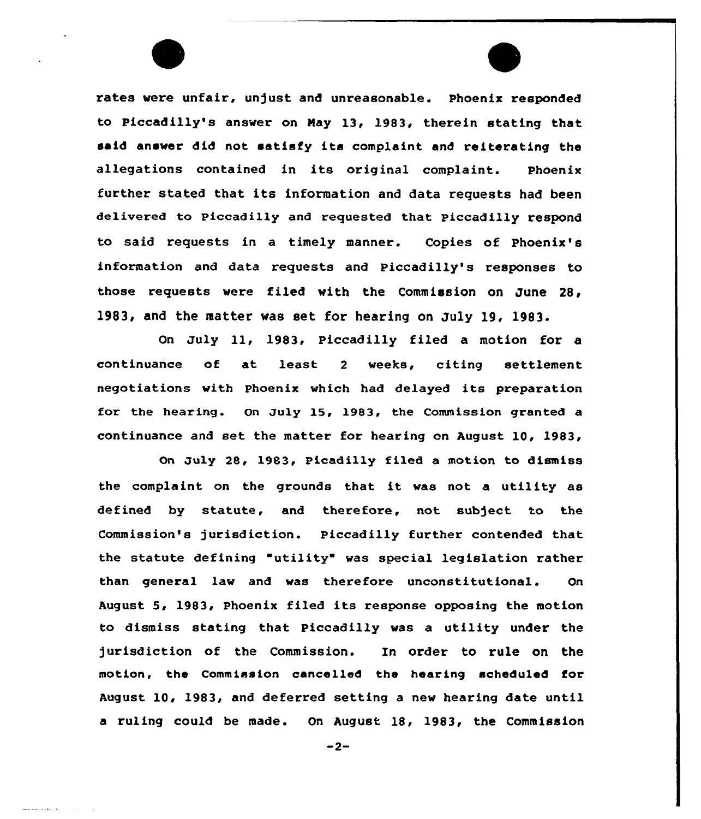rates were unfair, unjust and unreasonable. Phoenix responded to Piccadilly's answer on Nay 13, 1983, therein stating that said answer did not satisfy its complaint and reiterating the allegations contained in its original complaint. Phoenix further stated that its information and data requests had been delivered to piccadilly and requested that piccadilly respond to said requests in a timely manner. Copies of Phoenix's information and data requests and Piccadilly's responses to those requests were filed with the Commission on June 28< 1983, and the matter was set for hearing on July 19, 1983.

On July ll, 1983, Piccadilly filed <sup>a</sup> motion for <sup>a</sup> continuance of at least 2 weeks, citing settlemer negotiations with Phoenix which had delayed its preparation for the hearing. On July 15, 1983, the Commission granted a continuance and set the matter for hearing on August 10, 1983,

On July 28, 1983, Picadilly filed a motion to dismiss the complaint on the grounds that it was not a utility as defined by statute, and therefore, not subject to the Commission's jurisdiction. Piccadilly further contended that the statute defining "utility" was special legislation rather than general law and was therefore unconstitutional. On August 5, 1983, Phoenix filed its response opposing the motion to dismiss stating that Piccadilly was a utility under the jurisdiction of the Commission. In order to rule on the motion, the Commission cancelled the hearing scheduled for August 10, 1983, and deferred setting a new hearing date until a ruling could be made. On August 18, 1983, the Commission

 $-2-$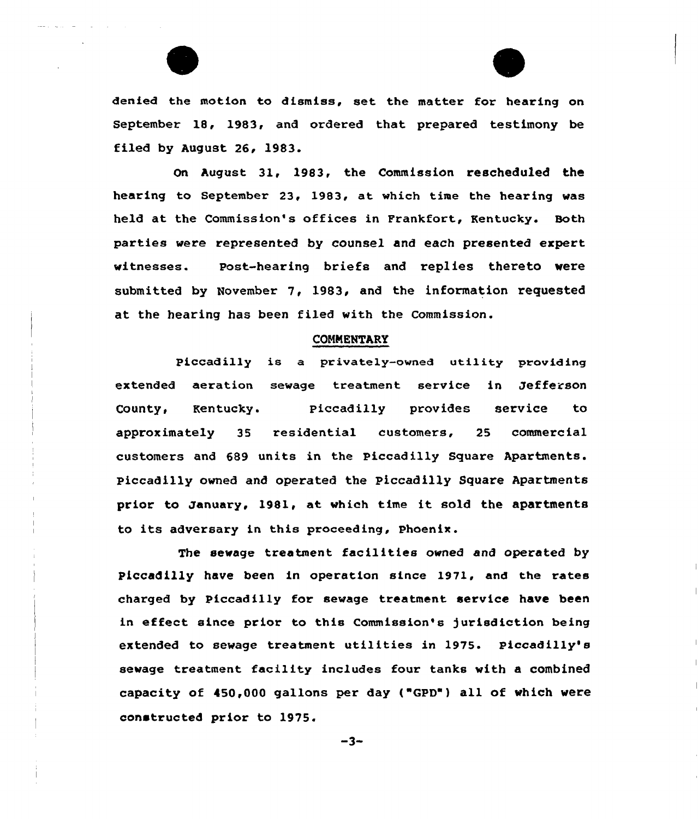

On August 31, 1983, the Commission rescheduled the hearing to September 23, 1983, at which time the hearing was held at the Commission's offices in Frankfort, Kentucky. Both parties were represented by counsel and each presented expert witnesses. Post-hearing briefs and replies thereto were submitted by November 7, 1983, and the information requested at the hearing has been filed with the Commission.

#### **COMMENTARY**

Piccadilly is a privately-owned utility providing extended aeration sewage treatment service in Jefferson County, Kentucky. Piccadilly provides service to approximately 35 residential customers, 25 commercial customers and 689 units in the Piccadilly Square Apartments. Piccadilly owned and operated the Piccadilly Square Apartments prior to January, 1981, at which time it sold the apartments to its adversary in this proceeding, Phoenix.

The sewage treatment facilities owned and operated by Pfccadilly have been in operation since 1971, and the rates charged by Piccadilly for sewage treatment service have been in effect since prior to this Commission's )urisdiction being extended to sewage treatment utilities in 1975. Piccadilly's sewage treatment facility includes four tanks with a combined capacity of 450,000 gallons per day ("GPD") all of which were constructed prior to 1975.

 $-3-$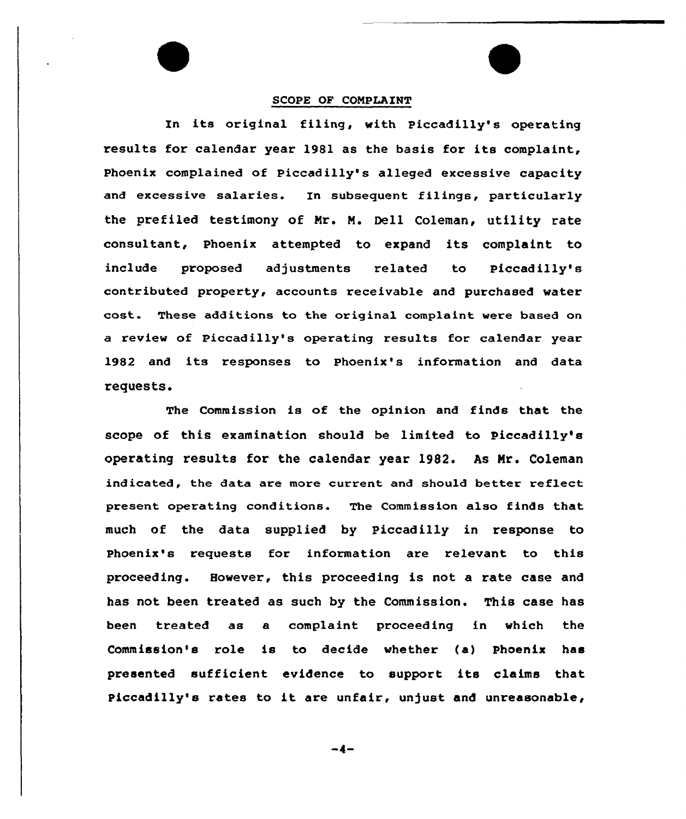# SCOPE OF COMPLAINT

In its original filing, with Piccadilly's operating results for calendar year 1981 as the basis for its complaint, Phoenix complained of Piccadilly's alleged excessive capacity and excessive salaries. In subsequent filings, particularly the prefiled testimony of Mr. M. Dell Coleman, utility rate consultant, Phoenix attempted to expand its complaint to include proposed adjustments related to Piccadilly's contributed property, accounts receivable and purchased water cost. These additions to the original complaint were based on a review of Piccadilly's operating results for calendar year 1982 and its responses to Phoenix's information and data requests.

The Commission is of the opinion and finds that the scope of this examination should be limited to Piccadilly's operating results for the calendar year 1982. As Mr. Coleman indicated, the data are more current and should better reflect present operating conditions. The Commission also finds that much of the data supplied by piccadilly in response to Phoenix's requests for information are relevant to this proceeding. However, this proceeding is not a rate case and has not been treated as such by the Commission. This case has been treated as a complaint proceeding in which the Commission's role is to decide whether (a) Phoenix has presented sufficient evidence to support its claims that Piccadilly's rates to it are unfair, unjust and unreasonable,

-4-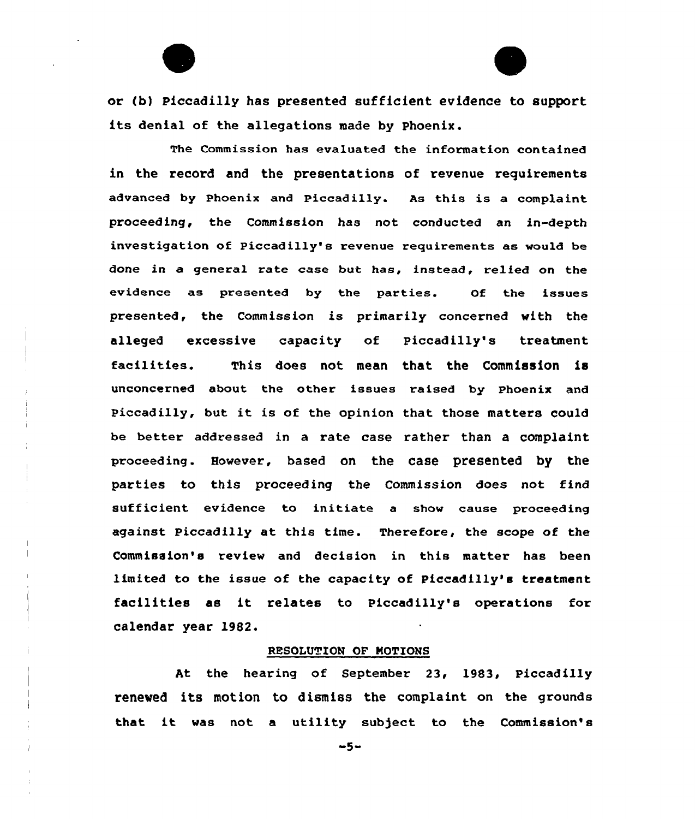

or (b) piccadilly has presented sufficient evidence to support its denial of the allegations made by Phoenix.

The Commission has evaluated the information contained in the record and the presentations of revenue requirements advanced by Phoenix and Piccadilly. As this is a complaint proceeding, the Commission has not conducted an in-depth investigation of Piccadilly's revenue requirements as would be done in a general rate case but has, instead, relied on the evidence as presented by the parties. Of the issues presented, the Commission is primarily concerned with the alleged excessive capacity of Piccadilly's treatment facilities. This does not mean that the Commission is unconcerned about the other issues raised by Phoenix and Piccadilly, but it is of the opinion that those matters could be better addressed in a rate case rather than a complaint proceeding. However, based on the case presented by the parties to this proceeding the Commission does not find sufficient evidence to initiate a show cause proceeding against Piccadilly at this time. Therefore, the scope of the Commission's review and decision in this matter has been limited to the issue of the capacity of Piccadilly's treatment facilities as it relates to Piccadilly's operations for calendar year 19B2.

## RESOLUTION OF NOTIONS

At the hearing of September 23, 1983, Piccadilly renewed its motion to dismiss the complaint on the grounds that it was not a utility subject to the Commission's

 $-5-$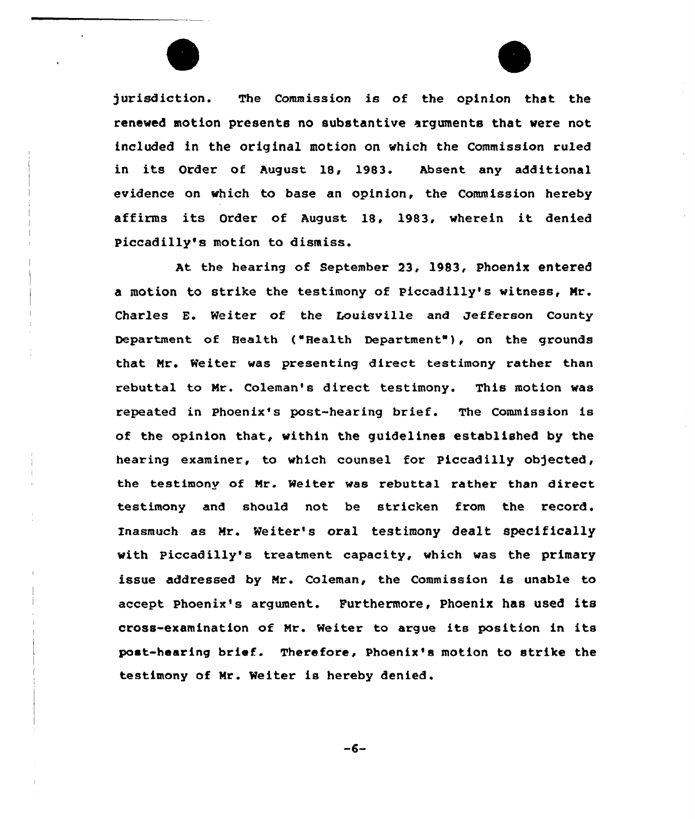

jurisdiction. The Commission is of the opinion that the renewed motion presents no substantive arguments that were not included in the original motion on which the Commission ruled in its Order of August 18, 1983. Absent any additional evidence on which to base an opinion, the Commission hereby affirms its Order of August 18, 1983, wherein it denied Piccadilly's motion to dismiss.

At the hearing of September 23, 1983, phoenix entered a motion to stxike the testimony of Piceadilly's witness, Nr. Charles E. Weiter of the Louisville and Jefferson County Depaxtment of Health ("Health Depaxtment"), on the gxounds that Mr. Weiter was presenting direct testimony rather than rebuttal to Nr. Coleman's direct testimony. This motion was repeated in Phoenix's post-hearing bxief. The Commission is of the opinion that, within the guidelines established by the hearing examinex, to which counsel for Piceadilly objected, the testimony of Mr. Weiter was rebuttal rather than direct testimony and should not be stricken from the record. Inasmuch as Mr. Weiter's oral testimony dealt specifically with Piccadilly's treatment capacity, which was the primary issue addressed by Mr. Coleman, the Commission is unable to accept Phoenix's argument. Fuxthermore, Phoenix has used its cross-examination of Mr. Weiter to argue its position in its poet-hearing brief. Therefore, Phoenix's motion to strike the testimony of Nr. Weiter is hereby denied.

 $-6-$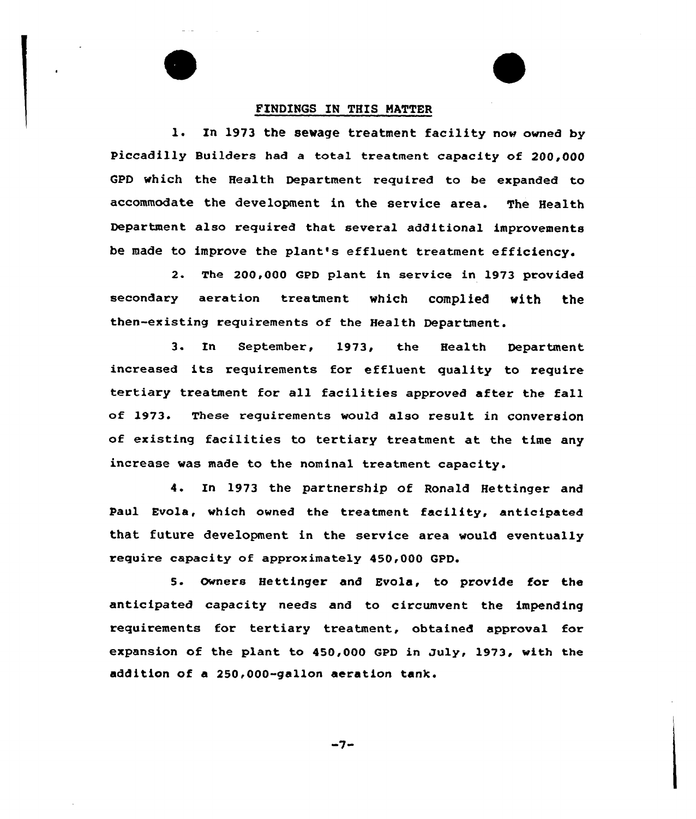#### FINDINGS IN THIS MATTER

l. In <sup>1973</sup> the sewage treatment facility now owned by Piccadilly Builders had <sup>a</sup> total treatment capacity of 200,000 GPD which the Health Department required to be expanded to accommodate the development in the service area. The Health Department also required that several additional improvements be made to improve the plant's effluent treatment efficiency.

2. The 200,000 CPD plant in service in 1973 provided secondary aeration treatment which complied with the then-existing requirements of the Health Department.

3. In September, 1973, the Health Department increased its requirements for effluent quality to require tertiary treatment for all facilities approved after the fall of 1973. These requirements would also result, in conversion of existing facilities to tertiary treatment at the time any increase was made to the nominal treatment capacity.

4. In 1973 the partnership of Ronald Hettinger and Paul Evola, which owned the treatment facility, anticipated that future development in the service area would eventually require capacity of approximately 450,000 GPD.

5. owners Hettinger and Evola, to provide for the anticipated capacity needs and to circumvent the impending requirements for tertiary treatment, obtained approval for expansion of the plant to 450,000 GPD in July, 1973, with the addition of a 250,000-gallon aeration tank.

-7-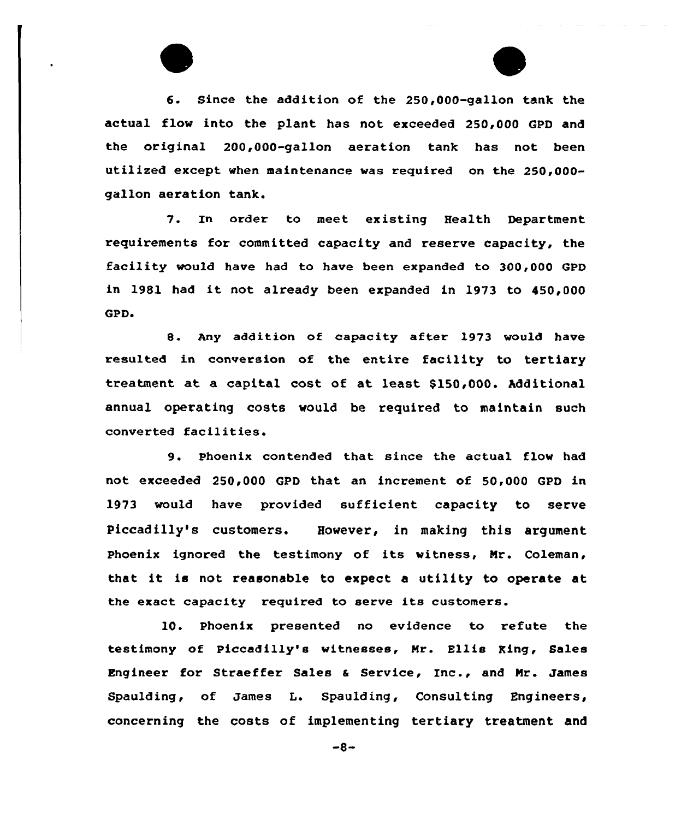6. Since the addition of the 250,000-gallon tank the actual flow into the plant has not exceeded 250,000 GPD and the original 200,000-gallon aeration tank has not been utilized except when maintenance was required on the 250,000 gallon aeration tank.

7. In order to meet existing Health Department requirements for committed capacity and reserve capacity, the facility would have had to have been expanded to 300,000 GPD in 1981 had it not already been expanded in 1973 to 450,000 GPD.

8. Any addition of capacity after 1973 would have resulted in conversion of the entire facility to tertiary treatment at a capital cost of at least \$150,000. Additional annual operating costs would be required to maintain such converted facilities.

9. Phoenix contended that since the actual flow had not exceeded 250,000 GPD that an increment of 50,000 GPD in 1973 would have provided sufficient capacity to serve Piccadilly's customers. However, in making this argument Phoenix ignored the testimony of its witness, Mr. Coleman, that it is not reasonable to expect <sup>a</sup> utility to operate at the exact capacity required to serve its customers.

10. Phoenix presented no evidence to refute the testimony of Piccadilly's witnesses, Mr. Ellis King, Sales Engineer for Straeffer Sales <sup>a</sup> Service, Inc., and Mr. James Spaulding, of James L. Spaulding, Consulting Engineers, concerning the costs of implementing tertiary treatment and

 $-8-$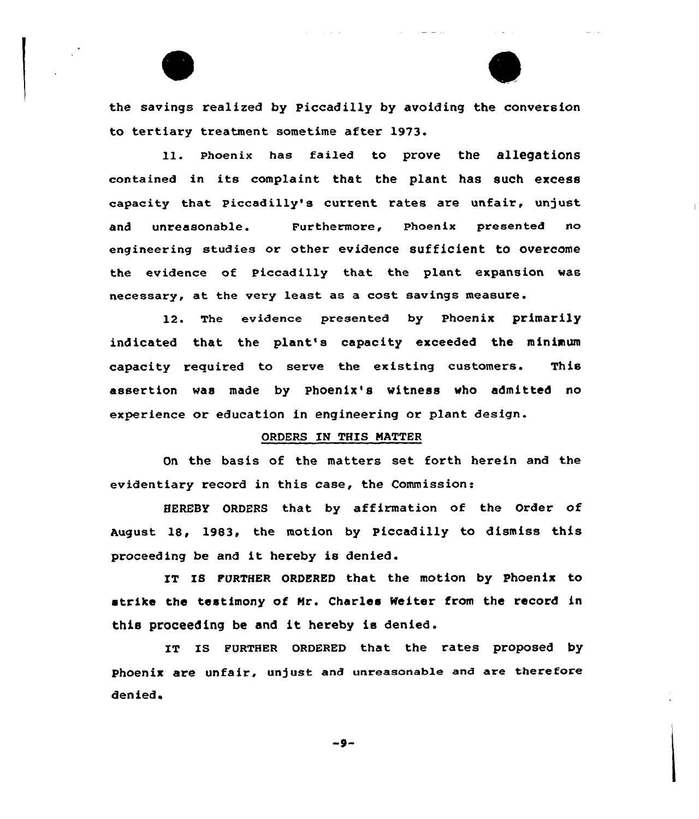the savings realized by Piccadilly by avoiding the conversion to tertiary treatment sometime after 19'73.

11. Phoenix has failed to prove the allegations contained in its complaint that the plant has such excess capacity that piccadilly's current rates are unfair, unjust and unreasonable. Furthermore, Phoenix presented no engineering studies or other evidence sufficient to overcome the evidence of Piccadilly that the plant expansion was necessary, at the very least as a cost savings measure.

12. The evidence presented by phoenix primarily indicated that the plant's capacity exceeded the minimum capacity required to serve the existing customers. This assertion was made by phoenix's witness who admitted no experience or education in engineering or plant design.

# ORDERS IN THIS NATTER

On the basis of the matters set forth herein and the evidentiary record in this case, the Commission:

HEREBY ORDERS that by affirmation of the Order of August 18, 1983, the motion by Piccadilly to dismiss this proceeding be and it hereby is denied.

IT IS FURTHER ORDERED that the motion by Phoenix to strike the testimony of Nr. Charles Weiter from the record in this proceeding be and it hereby is denied.

IT IS FURTHER ORDERED that the rates proposed by Phoenix are unfair, unjust and unreasonable and are therefore denied

-9-